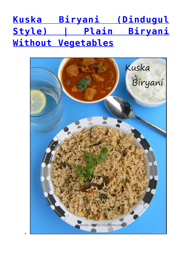## **[Kuska Biryani \(Dindugul](https://foodybuddy.net/2013/11/30/kuska-biryani-dindugul-style-plain-biryani-without-vegetables.html) [Style\) | Plain Biryani](https://foodybuddy.net/2013/11/30/kuska-biryani-dindugul-style-plain-biryani-without-vegetables.html) [Without Vegetables](https://foodybuddy.net/2013/11/30/kuska-biryani-dindugul-style-plain-biryani-without-vegetables.html)**

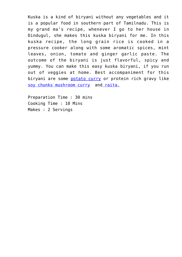Kuska is a kind of biryani without any vegetables and it is a popular food in southern part of Tamilnadu. This is my grand ma's recipe, whenever I go to her house in Dindugul, she makes this kuska biryani for me. In this kuska recipe, the long grain rice is cooked in a pressure cooker along with some aromatic spices, mint leaves, onion, tomato and ginger garlic paste. The outcome of the biryani is just flavorful, spicy and yummy. You can make this easy kuska biryani, if you run out of veggies at home. Best accompaniment for this biryani are some [potato curry](http://foodybuddy.net/2015/03/01/potato-kurma-recipe-for-chapathi.html) or protein rich gravy like [soy chunks mushroom curry](http://foodybuddy.net/2013/12/02/soya-chunks-mushroom-curry-meal-maker-kurma.html) an[d raita.](http://foodybuddy.net/2013/06/19/cucumber-raita-cucumber-yogurt-salad.html)

Preparation Time : 30 mins Cooking Time : 10 Mins Makes : 2 Servings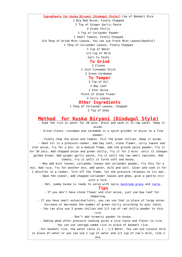**Ingredients for Kuska Biryani (Dindugul Style)**1 Cup of Basmati Rice 1 Big Red Onion, Finely Chopped 2 Tsp of Ginger Garlic Paste 4 Green Chilly 1 Tsp of Coriander Powder 1 Small Tomato, Finely Chopped 3/4 Tbsp of Dried Mint Leaves, You can use Fresh Mint Leaves(Handful) 1 Tbsp of Coriander Leaves, Finely Chopped 1 Cup of Water 1/2 Cup of Milk Salt to Taste  **To Grind** 2 Cloves 1 Inch Cinnamon Stick

2 Green Cardamom

## **To Temper**

3 Tsp of Oil

1 Bay Leaf

1 Star Anise

Pinch of Stone Flower

4 Curry Leaves  **Other Ingredients**

1 Tbsp of Coriander Leaves, Chopped

2 Tsp of Ghee

## **Method for Kuska Biryani (Dindugul Style)**

 - Soak the rice in water for 20 mins. Drain and wash it in tap water. Keep it aside.

 - Grind cloves, cinnamon and cardamom in a spice grinder or mixie to a fine powder.

- Finely chop the onion and tomato. Slit the green chilies. Keep it aside.

 - Heat oil in a pressure cooker, add bay leaf, stone flower, curry leaves and star anise, fry for a min. In a medium flame, add the ground spice powder, fry it for 30 secs. Add chopped onion and green chilly, fry it for 2 mins until it changes golden brown. Add ginger garlic paste, fry it until the raw smell vanishes. Add tomato, fry it until it turns soft and mushy.

 - Now add mint leaves, coriander leaves and coriander powder, fry this for a min. Add rice, fry for another min, add water, milk and salt. Cover and cook it for 2 whistles in a cooker. Turn off the flame, let the pressure releases on its own.

 - Open the cooker, add chopped coriander leaves and ghee, give a gentle stir with a fork.

- Hot, yummy kuska is ready to serve with spicy [mushroom gravy](http://foody-buddy.blogspot.com/2013/08/sippy-kaalan-kurma-oyster-mushroom-curry.html) and [raita.](http://foody-buddy.blogspot.com/2013/06/cucumber-raita-cucumber-yogurt-salad.html)

## **Tips**

 - If you don't have stone flower and star anise, just use bay leaf for tempering.

- If you have small onion(shallots), you can use that in place of large onion.

- Increase or decrease the number of green chilly according to your taste.

 - You can also use 3 green chilies and 1/2 tsp of red chilly powder to this rice.

- Don't add turmeric powder to kuska.

 - Adding ghee after pressure cooking gives a nice taste and flavor to rice. - You can use jeeraga samba rice in place of basmati rice.

 - For basmati rice, the water ratio is 1 : 1.5 Water. You can use coconut milk in place of water or you can use 1 cup of water and 1/2 cup of cow's milk, like I